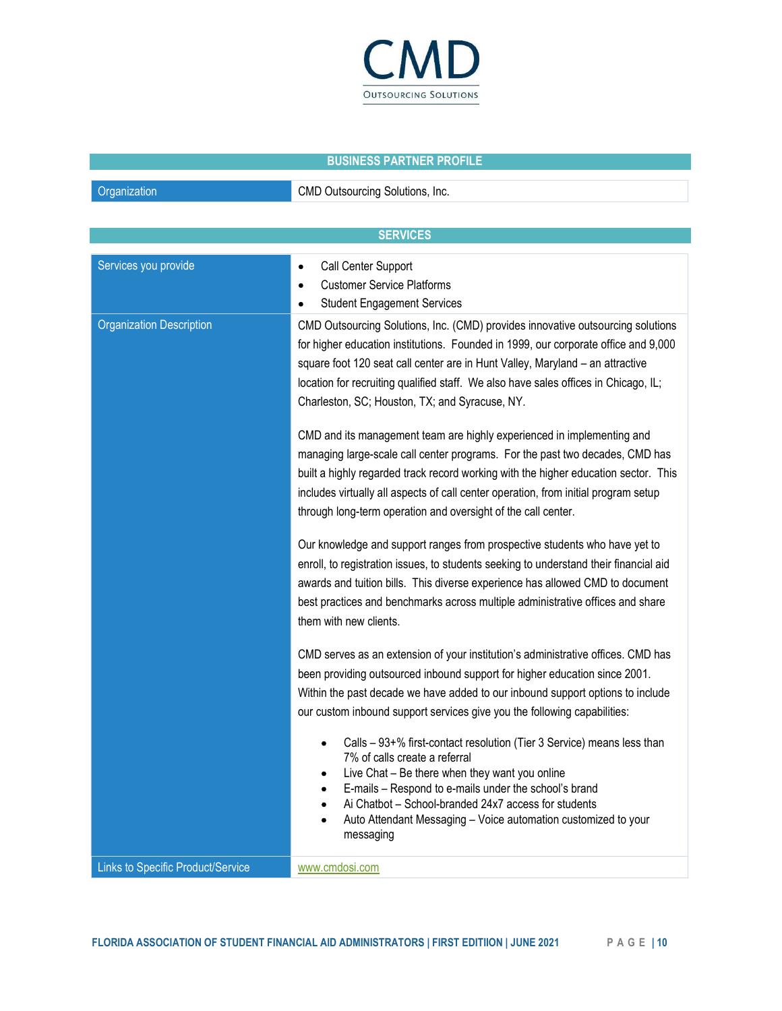

## BUSINESS PARTNER PROFILE

**Organization** CMD Outsourcing Solutions, Inc.

|                                   | <b>SERVICES</b>                                                                                                                                                                                                                                                                                                                                                                                       |  |
|-----------------------------------|-------------------------------------------------------------------------------------------------------------------------------------------------------------------------------------------------------------------------------------------------------------------------------------------------------------------------------------------------------------------------------------------------------|--|
| Services you provide              | Call Center Support<br>$\bullet$<br><b>Customer Service Platforms</b><br>$\bullet$<br><b>Student Engagement Services</b><br>$\bullet$                                                                                                                                                                                                                                                                 |  |
| <b>Organization Description</b>   | CMD Outsourcing Solutions, Inc. (CMD) provides innovative outsourcing solutions<br>for higher education institutions. Founded in 1999, our corporate office and 9,000<br>square foot 120 seat call center are in Hunt Valley, Maryland - an attractive<br>location for recruiting qualified staff. We also have sales offices in Chicago, IL;<br>Charleston, SC; Houston, TX; and Syracuse, NY.       |  |
|                                   | CMD and its management team are highly experienced in implementing and<br>managing large-scale call center programs. For the past two decades, CMD has<br>built a highly regarded track record working with the higher education sector. This<br>includes virtually all aspects of call center operation, from initial program setup<br>through long-term operation and oversight of the call center. |  |
|                                   | Our knowledge and support ranges from prospective students who have yet to<br>enroll, to registration issues, to students seeking to understand their financial aid<br>awards and tuition bills. This diverse experience has allowed CMD to document<br>best practices and benchmarks across multiple administrative offices and share<br>them with new clients.                                      |  |
|                                   | CMD serves as an extension of your institution's administrative offices. CMD has<br>been providing outsourced inbound support for higher education since 2001.<br>Within the past decade we have added to our inbound support options to include<br>our custom inbound support services give you the following capabilities:                                                                          |  |
|                                   | Calls - 93+% first-contact resolution (Tier 3 Service) means less than<br>7% of calls create a referral<br>Live Chat – Be there when they want you online<br>E-mails - Respond to e-mails under the school's brand<br>Ai Chatbot - School-branded 24x7 access for students<br>Auto Attendant Messaging - Voice automation customized to your<br>messaging                                             |  |
| Links to Specific Product/Service | www.cmdosi.com                                                                                                                                                                                                                                                                                                                                                                                        |  |